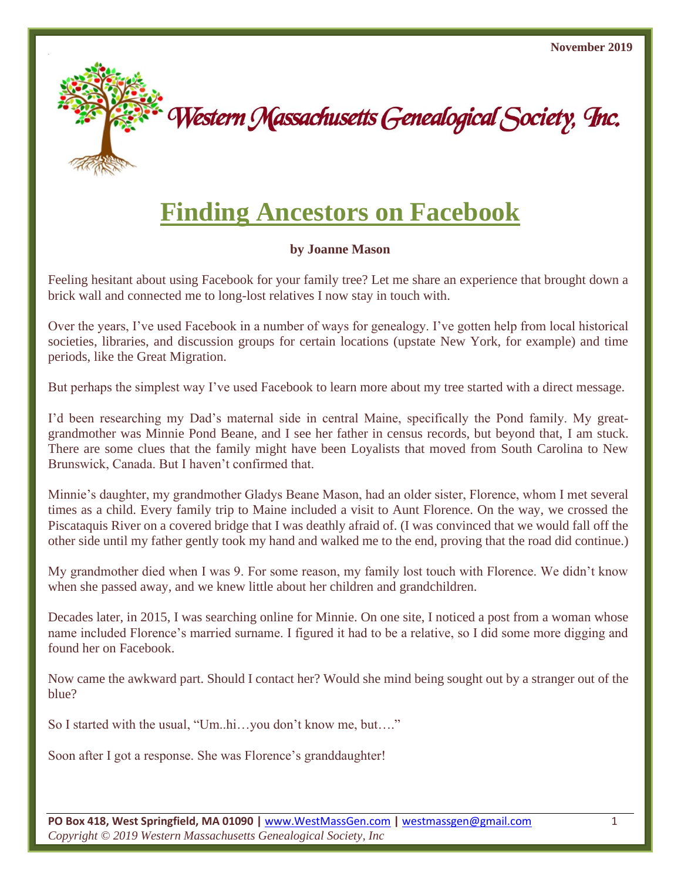

## **Finding Ancestors on Facebook**

## **by Joanne Mason**

Feeling hesitant about using Facebook for your family tree? Let me share an experience that brought down a brick wall and connected me to long-lost relatives I now stay in touch with.

Over the years, I've used Facebook in a number of ways for genealogy. I've gotten help from local historical societies, libraries, and discussion groups for certain locations (upstate New York, for example) and time periods, like the Great Migration.

But perhaps the simplest way I've used Facebook to learn more about my tree started with a direct message.

I'd been researching my Dad's maternal side in central Maine, specifically the Pond family. My greatgrandmother was Minnie Pond Beane, and I see her father in census records, but beyond that, I am stuck. There are some clues that the family might have been Loyalists that moved from South Carolina to New Brunswick, Canada. But I haven't confirmed that.

Minnie's daughter, my grandmother Gladys Beane Mason, had an older sister, Florence, whom I met several times as a child. Every family trip to Maine included a visit to Aunt Florence. On the way, we crossed the Piscataquis River on a covered bridge that I was deathly afraid of. (I was convinced that we would fall off the other side until my father gently took my hand and walked me to the end, proving that the road did continue.)

My grandmother died when I was 9. For some reason, my family lost touch with Florence. We didn't know when she passed away, and we knew little about her children and grandchildren.

Decades later, in 2015, I was searching online for Minnie. On one site, I noticed a post from a woman whose name included Florence's married surname. I figured it had to be a relative, so I did some more digging and found her on Facebook.

Now came the awkward part. Should I contact her? Would she mind being sought out by a stranger out of the blue?

So I started with the usual, "Um..hi…you don't know me, but…."

Soon after I got a response. She was Florence's granddaughter!